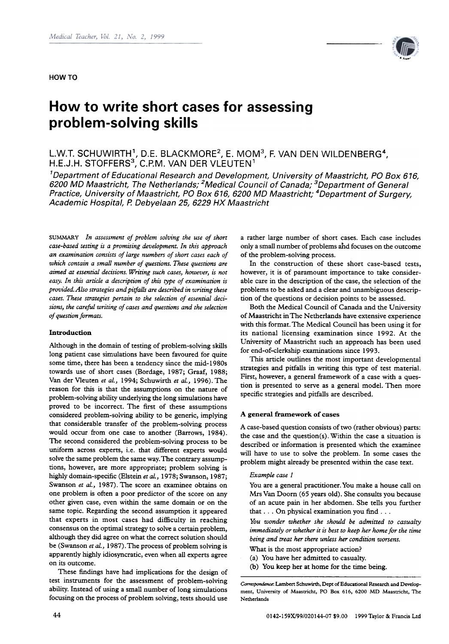

# How to write short cases for assessing problem-solving skills

L.W.T. SCHUWIRTH<sup>1</sup>, D.E. BLACKMORE<sup>2</sup>, E. MOM<sup>3</sup>, F. VAN DEN WILDENBERG<sup>4</sup>, H.E.J.H. STOFFERS<sup>3</sup>, C.P.M. VAN DER VLEUTEN<sup>1</sup>

<sup>1</sup>Department of Educational Research and Development, University of Maastricht, PO Box 616, 6200 MD Maastricht, The Netherlands; <sup>2</sup>Medical Council of Canada; <sup>3</sup>Department of General Practice, University of Maastricht, PO Box 616, 6200 MD Maastricht; <sup>4</sup>Department of Surgery, Academic Hospital, P. Oebyelaan 25, 6229 HX Maastricht

SUMMARY In assessment of problem solving the use of short case-based testing is a promising development. In this approach an examination consists of large numbers of short cases each of which contain a small number of questions. These questions are aimed at essential decisions. Writing such cases, however, is not easy. In this article a description of this type of examination is provided. Also strategies and piifalls are described in writing these cases. These strategies pertain to the selection of essential decisions, the careful writing of cases and questions and the selection of question formats.

# Introduction

Although in the domain of testing of problem-solving skills long patient case simulations have been favoured for quite some time, there has been a tendency since the mid-1980s towards use of short cases (Bordage, 1987; Graaf, 1988; Van der Vleuten et al., 1994; Schuwirth et al., 1996). The reason for this is that the assumptions on the nature of problem-solving ability underlying the long simulations have proved to be incorrect. The first of these assumptions considered problem-solving ability to be generic, implying that considerable transfer of the problem-solving process would occur from one case to another (Barrows, 1984). The second considered the problem-solving process to be uniform across experts, i.e. that different experts would solve the same problem the same way. The contrary assumptions, however, are more appropriate; problem solving is highly domain-specific (Elstein et al., 1978; Swanson, 1987; Swanson et al., 1987). The score an examinee obtains on one problem is often a poor predictor of the score on any other given case, even within the same domain or on the same topic. Regarding the second assumption it appeared that experts in most cases had difficulty in reaching consensus on the optimal strategy to solve a certain problem, although they did agree on what the correct solution should be (Swanson et al., 1987). The process of problem solving is apparently highly idiosyncratic, even when alI experts agree on its outcome.

These findings have had implications for the design of test instruments for the assessment of problem-solving ability. Instead of using a small number of long simulations focusing on the process of problem solving, tests should use

a rather large number of short cases. Each case includes onlya small number of problems ahd focuses on the outcome of the problem-solving process.

ln the construction of these short case-based tests, however, it is of paramount importance to take considerable care in the description of the case, the selection of the problems to be asked and a clear and unambiguous description of the questions or decision points to be assessed.

Both the Medical Council of Canada and the University of Maastricht in The Netherlands have extensive experience with this format. The Medical Council has been using it for its national licensing examination since 1992. At the University of Maastricht such an approach has been used for end-of-clerkship examinations since 1993.

This article oudines the most important developmental strategies and pitfalls in writing this type of test material. First, however, a general framework of a case with a question is presented to serve as a general model. Then more specific strategies and pitfalls are described.

# A general framework of cases

A case-based question consists of two (rather obvious) parts: the case and the question(s). Within the case a situation is described or information is presented which the examinee will have to use to solve the problem. In some cases the problem might already be presented within the case text.

# Example case 1

You are a general practitioner. You make a house call on Mrs Van Doorn (65 years old). She consults you because of an acute pain in her abdomen. She tells you further that  $\ldots$  On physical examination you find  $\ldots$ 

You wonder whether she should be admitted to casualty immediately or whether it is best ta keep her home for the time being and treat her there unless her condition worsens.

- What is the most appropriate action?
- (a) You have her admitted to casualty.
- (b) You keep her at home for the time being.

Correspondence: Lambert Schuwirth, Dept of Educational Research and Development, University of Maastricht, PO Box 616, 6200 MD Maastricht, The Netherlands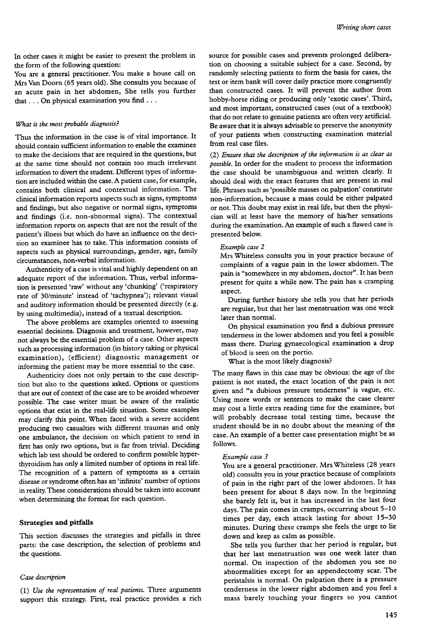In other cases it might be easier to present the problem in the form of the following question:

You are a general practitioner. You make a house call on Mrs Van Doorn (65 years old). She consults you because of an acute pain in her abdomen, She tells you further that ... On physical examination you find ...

#### What is the most probable diagnosis?

Thus the information in the case is of vital importance. It should contain sufficient information to enable the examinee to make the decisions that are required in the questions, but at the same time should not contain too much irrelevant information to divert the student. Different types of information are included within the case. A patient case, for example, contains both clinical and contextual information. The clinical information reports aspects such as signs, symptoms and findings, but also negative or normal signs, symptoms and findings (i.e. non-abnormal signs). The contextual information reports on aspects that are not the result of the patient's illness but which do have an influence on the decision an examinee has to take. This information consists of aspects such as physical surroundings, gender, age, family circumstances, non-verbal information.

Authenticity of a case is vital and highly dependent on an adequate report of the information. Thus, verbal information is presented 'raw' without any 'chunking' ('respiratory rate of 30/minute' instead of 'tachypnea'); relevant visual and auditory information should be presented directly (e.g. by using multimedia), instead of a textual description.

The above problems are examples oriented to assessing essential decisions. Diagnosis and treatment, however, may not always be the essential problem of a case. Other aspects such as processing information (in history taking or physical examination), (efficient) diagnostic management or informing the patient may be more essential to the case.

Authenticity does not only pertain to the case description but also to the questions asked. Options or questions that are out of context of the case are to be avoided whenever possible. The case writer must be aware of the realistic options that exist in the real-life situation. Some examples may clarify this point. When faced with a severe accident producing two casualties with different traumas and only one ambulance, the decision on which patient to send in first has only two options, but is far from trivial. Deciding which lab test should be ordered to confirm possible hyperthyroidism has only a limited number of options in real life. The recognition of a pattern of symptoms as a certain disease or syndrome often has an 'infinite' number of options in reality. These considerations should be taken into account when determining the format for each question.

# Strategies and pitfalls

This section discusses the strategies and pitfalls in three parts: the case description, the selection of problems and the questions.

#### Case description

(I) Use the representation of real patients. Three arguments support this strategy. First, real practice provides a rich source for possible cases and prevents prolonged deliberation on choosing a suitable subject for a case. Second, by randomly selecting patients to form the basis for cases, the test or item bank will cover daily practice more congruendy than constructed cases. It will prevent the author from hobby-horse riding or producing only 'exotic cases'. Third, and most important, constructed cases (out of a textbook) that do not relate to genuine patients are often very artificial. Be aware that it is always advisable to preserve the anonymity of your patients when constructing examination material from real case files.

(2) Ensure that the description of the information is as clear as possible. In order for the student to process the information the case should be unambiguous and written clearly. It should deal with the exact features that are present in real life. Phrases such as 'possible masses on palpation' constitute non-information, because a mass could be either palpated or not. This doubt may exist in real life, but then the physician will at least have the memory of his/her sensations during the examination. An example of such a flawed case is presented below.

## Example case 2

Mrs Whiteless consults you in your practice because of complaints of a vague pain in the lower abdomen. The pain is "somewhere in my abdomen, doctor". It has been present for quite a while now. The pain has a cramping aspect.

During further history she tells you that her periods are regular, but that her last menstruation was one week later than normal.

On physical examination you find a dubious pressure tenderness in the lower abdomen and you feel a possible mass there. During gynaecological examination a drop of blood is seen on the portio.

What is the most likely diagnosis?

The many flaws in this case may be obvious: the age of the patient is not stated, the exact location of the pain is not given and "a dubious pressure tenderness" is vague, etc. Using more words or sentences to make the case clearer may cost a litde extra reading time for the examinee, but will probably decrease total testing time, because the student should be in no doubt about the meaning of the case. An example of a better case presentation might be as follows.

#### Example case 3

You are a general practitioner. Mrs Whiteless (28 years old) consults you in your practice because of complaints of pain in the right part of the lower abdomen. It has been present for about 8 days now. In the beginning she barely felt it, but it has increased in the last four days. The pain comes in cramps, occurring about 5-10 times per day, each attack lasting for about 15-30 minutes. During these cramps she feels the urge to lie down and keep as calm as possible.

She tells you further that her period is regular, but that her last menstruation was one week later than normal. On inspection of the abdomen you see no abnormalities except for an appendectomy scar. The peristalsis is normal. On palpation there is a pressure tenderness in the lower right abdomen and you feel a mass barely touching your fingers so you cannot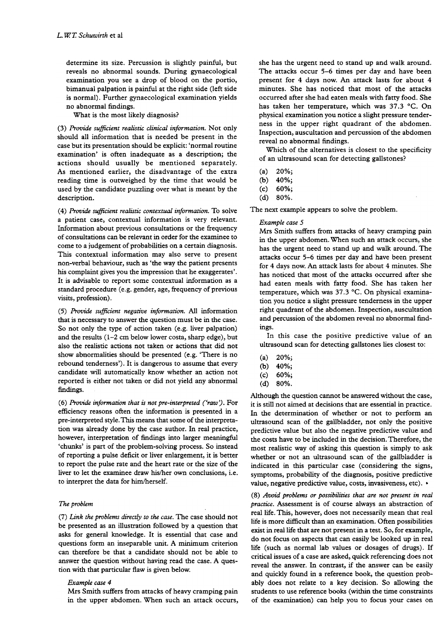determine its size. Percussion is slightly painful, but reveals no abnormal sounds. During gynaecological examination you see a drop of blood on the portio, bimanual palpation is painful at the right side (left side is normal). Further gynaecological examination yields no abnormal findings.

What is the most likely diagnosis?

(3) Provide sufficient realistic clinical information. Not only should all information that is needed be present in the case but its presentation should be explicit: 'normal routine examination' is often inadequate as a description; the actions should usually be mentioned separately. As mentioned earlier, the disadvantage of the extra reading time is outweighed by the time that would be used by the candidate puzzling over what is meant by the description.

(4) Provide sufficient realistic contextual information. To solve a patient case, contextual information is very relevant. Information about previous consultations or the frequency of consultations can be relevant in order for the examinee to corne to a judgement of probabilities on a certain diagnosis. This contextual information may also serve to present non-verbal behaviour, such as 'the way the patient presents his complaint gives you the impression that he exaggerates'. It is advisable to report some contextual information as a standard procedure (e.g. gender, age, frequency of previous visits, profession) .

(5) Provide sufficient negative information. All information that is necessary to answer the question must be in the case. So not only the type of action taken (e.g. liver palpation) and the results (1-2 cm below lower costa, sharp edge), but also the realistic actions not taken or actions that did not show abnormalities should be presented (e.g. 'There is no rebound tenderness'). It is dangerous to assume that every candidate will automatically know whether an action not reported is either not taken or did not yield any abnormal findings.

 $(6)$  Provide information that is not pre-interpreted  $('raw')$ . For efficiency reasons often the information is presented in a pre-interpreted style. This means that some of the interpretation was already done by the case author. In real practice, however, interpretation of findings into larger meaningful 'chunks' is part of the problem-solving process. So instead of reporting a pulse deficit or liver enlargement, it is better to report the pulse rate and the heart rate or the size of the liver to let the examinee draw his/her own conclusions, i.e. to interpret the data for him/herself.

# The problem

(7) Link the problems directly to the case. The case should not be presented as an illustration followed by a question that asks for general knowledge. It is essential that case and questions form an inseparable unit. A minimum criterion can therefore be that a candidate should not be able to answer the question without having read the case. A question with that particular flaw is given below.

## Example case 4

Mrs Smith suffers from attacks of heavy cramping pain in the upper abdomen. When such an attack occurs, she has the urgent need to stand up and walk around. The attacks occur 5-6 times per day and have been present for 4 days now. An attack lasts for about 4 minutes. She has noticed that most of the attacks occurred after she had eaten meals with fatty food. She has taken her temperature, which was 37.3 °C. On physical examination you notice a slight pressure tenderness in the upper right quadrant of the abdomen. Inspection, auscultation and percussion of the abdomen reveal no abnormal findings.

Which of the alternatives is closest to the specificity of an ultrasound scan for detecting gallstones?

- (a) 20%;
- (b) 40%;
- (c) 60%;
- (d) 80%.

The next example appears to solve the problem.

# Example case 5

Mrs Smith suffers from attacks of heavy cramping pain in the upper abdomen. When such an attack occurs, she has the urgent need to stand up and walk around. The attacks occur 5-6 times per day and have been present for 4 days now. An attack lasts for about 4 minutes. She has noticed that most of the attacks occurred after she had eaten meals with fatty food. She has taken her temperature, which was 37.3 °C. On physical examination you notice a slight pressure tenderness in the upper right quadrant of the abdomen. Inspection, auscultation and percussion of the abdomen reveal no abnormal findings.

In this case the positive predictive value of an ultrasound scan for detecting gallstones lies closest to:

- (a) 20%;
- (b) 40%;
- (c) 60%;
- (d) 80%.

Although the question cannot be answered without the case, it is still not aimed at decisions that are essential in practice. In the determination of whether or not to perform an ultrasound scan of the gallbladder, not only the positive predictive value but also the negative predictive value and the costs have to be included in the decision. Therefore, the most realistic way of asking this question is simply to ask whether or not an ultrasound scan of the gallbladder is indicated in this particular case (considering the signs, symptoms, probability of the diagnosis, positive predictive value, negative predictive value, costs, invasiveness, etc). .

(8) Avoid problems or possibilities rhar are nor presenr in real practice. Assessment is of course always an abstraction of real life. This, however, does not necessarily mean that real life is more difficult than an examination. Often possibilities exist in real life that are not present in a test. So, for example, do not focus on aspects that can easily be looked up in real life (such as normal lab values or dosages of drugs). If critical issues of a case are asked, quick referencing does not reveal the answer. In contrast, if the answer can be easily and quickly found in a reference book, the question probably does not relate to a key decision. So allowing the students to use reference books (within the time constraints of the examination) can help you to focus your cases on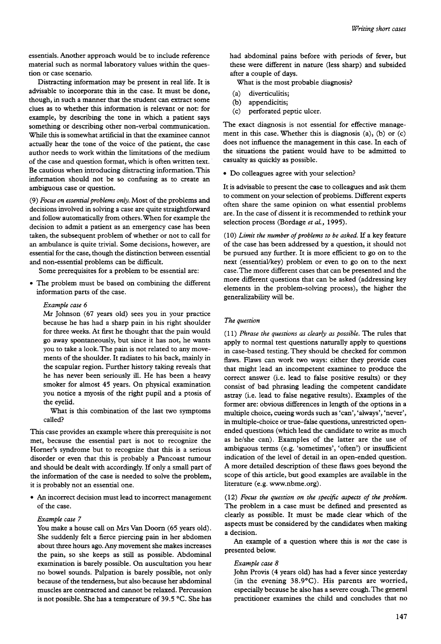essentials. Another approach would be to include reference material such as normal laboratory values within the question or case scenario.

Distracting information may be present in real life. It is advisable to incorporate this in the case. It must be done, though, in sucb a manner that the student can extract some clues as to wbether this information is relevant or not: for example, by describing the tone in which a patient says something or describing other non-verbal communication. While this is somewbat artificial in that the examinee cannot actually bear the tone of the voice of the patient, the case author needs to work within the limitations of the medium of the case and question format, wbicb is often written text. Be cautious wben introducing distracting information. This information sbould not be so confusing as to create an ambiguous case or question.

(9) Focus on essential problems only. Most of the problems and decisions involved in solving a case are quite straightforward and follow automatically from others. When for example the decision to admit a patient as an emergency case has been taken, the subsequent problem of wbether or not to calI for an ambulance is quite trivial. Some decisions, bowever, are essential for the case, though the distinction between essential and non-essential problems can be difficult.

Some prerequisites for a problem to be essential are:

.The problem must be based on combining the different information parts of the case.

#### Example case 6

Mr Johnson (67 years old) sees you in your practice because be bas bad a sbarp pain in bis right sboulder for three weeks. At first he thought that the pain would go away spontaneously, but since it bas not, be wants you to take a look. The pain is not related to any movements of the sboulder. It radiates to bis back, mainly in the scapular region. Further history taking reveals that be bas never been seriously ill. He bas been a beavy smoker for almost 45 years. On pbysical examination you notice a myosis of the right pupil and a ptosis of the eyelid.

What is this combination of the last two symptoms called?

This case provides an example where this prerequisite is not met, because the essential part is not to recognize the Horner's syndrome but to recognize that this is a serious disorder or even that this is probably a Pancoast tumour and should be dealt with accordingly. If only a small part of the information of the case is needed to solve the problem, it is probably not an essential one.

.An incorrect decision must lead to incorrect management of the case.

#### Example case 7

You make a house cali on Mrs Van Doorn (65 years old). She suddenly felt a fierce piercing pain in her abdomen about three hours ago. Any movement she makes increases the pain, so she keeps as still as possible. Abdominal examination is barely possible. On auscultation you hear no bowel sounds. Palpation is barely possible, not only because of the tenderness, but also because her abdominal muscles are contracted and cannot be relaxed. Percussion is not possible. She has a temperature of 39.5 °C. She has

had abdominal pains before with periods of fever, but these were different in nature (less sharp) and subsided after a couple of days.

What is the most probable diagnosis?

- (a) diverticulitis;
- (b) appendicitis;
- (c) perforated peptic ulcer.

The exact diagnosis is not essential for effective management in this case. Whether this is diagnosis (a), (b) or (c) does not influence the management in this case. In each of the situations the patient would have to be admitted to casualty as quickly as possible.

.Do colleagues agree with your selection?

It is advisable to present the case to colleagues and ask them to comment on your selection of problems. Different experts often share the same opinion on what essential problems are. In the case of dissent it is recommended to rethink your selection process (Bordage et al., 1995).

 $(10)$  Limit the number of problems to be asked. If a key feature of the case has been addressed by a question, it should not be pursued any further. It is more efficient to go on to the next (essential/key) problem or even to go on to the next case. The more difIerent cases that can be presented and the more different questions that can be asked (addressing key elements in the problem-solving process), the higher the generalizability will be.

# The question

 $(11)$  Phrase the questions as clearly as possible. The rules that apply to normal test questions naturally apply to questions in case-based testing. They should be checked for common fiaws. Flaws can work two ways: either they provide cues that might lead an incompetent examinee to produce the correct answer (i.e. lead to false positive results) or they consist of bad phrasing leading the competent candidate astray (i.e. lead to false negative results). Examples of the former are: obvious differences in length of the options in a multiple choice, cueing words such as 'can', 'always', 'never', in multiple-choice or true-false questions, unrestricted openended questions (which lead the candidate to write as much as he/she can). Examples of the latter are the use of ambiguous terms (e.g. 'sometimes', 'often') or insufficient indication of the level of detail in an open-ended question. A more detailed description of these fiaws goes beyond the scope of this article, but good examples are available in the literature (e.g. www.nbme.org).

(12) Focus the question on the specific aspects of the problem. The problem in a case must be detined and presented as clearly as possible. It must be made clear which of the aspects must be considered by the candidates when making a decision.

An example of a question where this is not the case is presented below.

#### Example case 8

John Provis (4 years old) has had a fever since yesterday (in the evening 38.9°C). Ris parents are worried, especially because he also has a severe cough. The general practitioner examines the child and concludes that no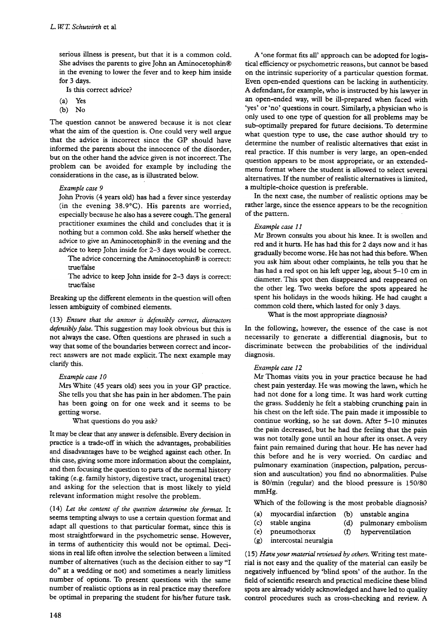serious illness is present, but that it is a common cold. She advises the parents to give John an Aminocetophin@ in the evening to lower the fever and to keep him inside for 3 days.

Is this correct advice?

- (a) Yes
- $(b)$  No

The question cannot be answered because it is not clear what the aim of the question is. One could very well argue that the advice is incorrect since the GP should have informed the parents about the innocence of the disorder, but on the other hand the advice given is not incorrect. The problem can be avoided for example by including the considerations in the case, as is illustrated below.

# Example case 9

John Provis (4 years old) has had a fever since yesterday (in the evening 38.9°C). Ris parents are worried, especially because he also has a severe cough. The general practitioner examines the child and concludes that it is nothing but a common cold. She asks herself whether the advice to give an Aminocetophin@ in the evening and the advice to keep John inside for 2-3 days would be correct.

The advice concerning the Aminocetophin@ is correct: true/false

The advice to keep John inside for 2-3 days is correct: true/false

Breaking up the different elements in the question will often lessen ambiguity of combined elements.

( 13) Ensure that the answer is defensibly correct, distractors defensibly false. This suggestion may look obvious but this is not always the case. Often questions are phrased in such a way that some of the boundaries between correct and incorrect answers are not made explicit. The next example may clarify this.

## Example case 10

Mrs White (45 years old) sees you in your GP practice. She tells you that she has pain in her abdomen. The pain has been going on for one week and it seems to be getting worse.

What questions do you ask?

It may be clear that any answer is defensible. Every decision in practice is a trade-off in which the advantages, probabilities and disadvantages have to be weighed against each other. In this case, giving some more information about the complaint, and then focusing the question to parts of the normal history taking (e.g. family history, digestive tract, urogenital tract) and asking for the selection that is most likely to yield relevant information might resolve the problem.

 $(14)$  Let the content of the question determine the format. It seems tempting always to use a certain question format and adapt all questions to that particular format, since this is most straightforward in the psychometric sense. Rowever, in terms of authenticity this would not be optimal. Decisions in reallife often involve the selection between a limited number of alternatives (such as the decision either to say "1 do" at a wedding or not) and sometimes a nearly limitless number of options. To present questions with the same number of realistic options as in real practice may therefore be optimal in preparing the student for his/her future task.

A 'one format fits alI' approach can be adopted for logistical efficiency or psychometric reasons, but cannot be based on the intrinsic superiority of a particular question format. Even open-ended questions can be lacking in authenticity. A defendant, for example, who is instructed by his lawyer in an open-ended way, will be ill-prepared when faced with 'yes' or 'no' questions in court. Similarly, a physician who is only used to one type of question for alI problems may be sub-optimally prepared for future decisions. To determine what question type to use, the case author should try to determine the number of realistic alternatives that exist in real practice. If this number is very large, an open-ended question appears to be most appropriate, or an extendedmenu format where the student is allowed to select several alternatives. If the number of realistic alternatives is limited, a multiple-choice question is preferable.

In the next case, the number of realistic options may be rather large, since the essence appears to be the recognition of the pattern.

# Example case II

Mr Brown consults you about his knee. It is swollen and red and it hurts. He has had this for 2 days now and it has gradually become worse. He has not had this before. When you ask him about other complaints, he tells you that he has had a red spot on his left upper leg, about 5-10 cm in diameter. This spot then disappeared and reappeared on the other leg. Two weeks before the spots appeared he spent his holidays in the woods hiking. He had caught a common cold there, which lasted for only 3 days.

What is the most appropriate diagnosis?

In the following, however, the essence of the case is not necessarily to generate a differential diagnosis, but to discriminate between the probabilities of the individual diagnosis.

# Example case 12

Mr Thomas visits you in your practice because he had chest pain yesterday. He was mowing the lawn, which he had not done for a long time. It was hard work cutting the grass. Suddenly he felt a stabbing crunching pain in his chest on the left side. The pain made it impossible to continue working, so he sat down. After 5-10 minutes the pain decreased, but he had the feeling that the pain was not totally gone until an hour after its onset. A very faint pain remained during that hour. He has never had this before and he is very worried. On cardiac and pulmonary examination (inspection, palpation, percussion and auscultation) you find no abnormalities. Pulse is 80/min (regular) and the blood pressure is 150/80 mmHg.

Which of the following is the most probable diagnosis?

- (a) myocardial infarction (b) unstable angina
- (c) stable angina (d) pulmonary embolism
	-
- (e) pneumothorax (f) hyperventilation
- (g) intercostal neuralgia

( 15) Have your material reviewed by others. W riting test material is not easy and the quality of the material can easily be negatively influenced by 'blind spots' of the author. In the field of scientific research and practical medicine these blind spots are already widely acknowledged and have led to quality control procedures such as cross-checking and review. A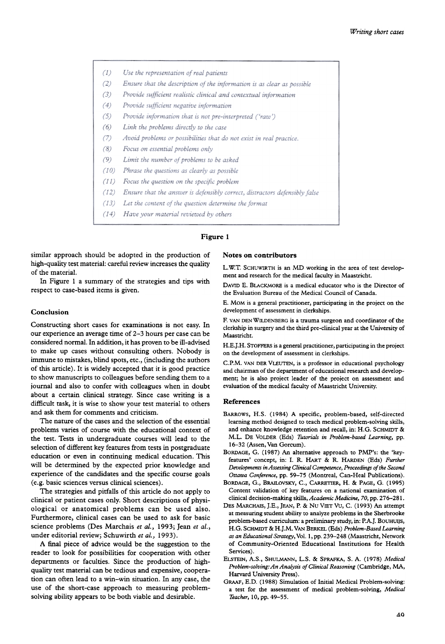- $(1)$ Use the representation of real patients
- $(2)$ Ensure that the description of the information is as clear as possible
- $(3)$ Provide sufficient realistic clinical and contextual information
- $(4)$ Provide sufficient negative information
- $(5)$ Provide information that is not pre-interpreted ('raw')
- $(6)$ Link the problems directly to the case
- Avoid problems or possibilities that do not exist in real practice.  $(7)$
- $(8)$ Focus on essential problems only
- $(9)$ Limit the number of problems to be asked
- $(10)$ Phrase the questions as clearly as possible
- $(11)$ Focus the question on the specific problem
- $(12)$ Ensure that the answer is defensibly correct, distractors defensibly false
- Let the content of the question determine the format  $(13)$
- Have your material reviewed by others  $(14)$

# Figure 1

similar approach should be adopted in the production of high-quality test material: careful review increases the quality of the material.

In Figure l a summary of the strategies and tips with respect to case-based items is given.

# Conclusion

Constructing short cases for examinations is not easy. ln our experience an average time of 2-3 hours per case can be considered normal. In addition, it has proven to be ill-advised to make up cases without consulting others. Nobody is immune to mistakes, blind spots, etc., (including the authors of this article). It is widely accepted that it is good practice to show manuscripts to colleagues before sending them to a journal and also to confer with colleagues when in doubt about a certain clinical strategy. Since case writing is a difficult task, it is wise to show your test material to others and ask them for comments and criticism.

The nature of the cases and the selection of the essential problems varies of course with the educational context of the test. Tests in undergraduate courses will lead to the selection of different key features from tests in postgraduate education or even in continuing medical education. This will be determined by the expected prior knowledge and experience of the candidates and the specific course goals (e.g. basic sciences versus clinical sciences).

The strategies and pitfalls of this article do not apply to clinical or patient cases only. Short descriptions of physiological or anatomical problems can be used also. Furthermore, clinical cases can be used to ask for basic science problems (Des Marchais et al., 1993; Jean et al., under editorial review; Schuwirth et al., 1993).

A final piece of advice would be the suggestion to the reader to look for possibilities for cooperation with other departments or faculties. Since the production of highquality test material can be tedious and expensive, cooperation can often lead to a win-win situation. In any case, the use of the short-case approach to measuring problemsolving ability appears to be both viable and desirable.

# Notes on contributors

L.W.T. SCHUWIRTH is an MD working in the area of test development and research for the medical faculty in Maastricht.

DAVID E. BlACKMORE is a medical educator who is the Director of the Evaluation Bureau of the Medical Council of Canada.

E. MoM is a general practitioner, participating in the project on the development of assessment in clerkships.

F. VAN DENWILDENBERG is a trauma surgeon and coordinator of the clerkship in surgery and the third pre-clinical year at the University of Maastricht.

H.E.J.H. STOFFERS is a general practitioner, participating in the project on the development of assessment in clerkships.

C.P.M. VAN DER VLEUTEN, is a professor in educational psychology and chairman of the department of educational research and development; he is also project leader of the project on assessment and evaluation of the medical faculty of Maastricht University.

## References

- BARROWS, H.S. (1984) A specific, problem-based, self-directed learning method designed to teach medical problem-solving skills, and enhance knowledge retention and recall, in: H.G. SCHMIDT & M.L. DE VOLDER (Eds) Turorials in Problem-based Learning, pp. 16-32 (Assen, Van Gorcum).
- BORDAGE, G. (1987) An alternative approach to PMP's: the 'keyfeatures' concept, in: I. R. HART & R. HARDEN (Eds) Further Developments in Assessing Clinical Competence, Proceedings of the Second Ottawa Conference, pp. 59-75 (Montreal, Can-Heal Publications).
- BORDAGE, G., BRAILOVSKY, C., CARRETIER, H. & PAGE, G. (1995) Content validation of key features on a national examination of clinical decision-making skills, Academic Medicine, 70, pp. 276-281.
- DES MARcHAIs, J.E., JEAN, P. & Nu VIET Vu, C. (1993) An attempt at measuring student ability to analyze problems in the Sherbrooke problem-based curriculum: a preliminary study, in: P.A.J. BOUHUIJS, H.G. SCHMIDT & H.J.M. VAN BERKEL (Eds) Problem-Based Learning as an Educational Strategy, Vol. 1, pp. 239-248 (Maastricht, Network of Community-Oriented Educational Institutions for Health Services).
- ELSTEIN, A.S., SHULMANN, LS. & SPRAFKA, S. A. (1978) Medical Problem-solving: An Analysis of Clinical Reasoning (Cambridge, MA, Harvard University Press).
- GRAAF, E.D. (1988) Simulation of Initial Medical Problem-solving: a test for the assessment of medical problem-solving, Medical Teacher, 10, pp. 49-55.